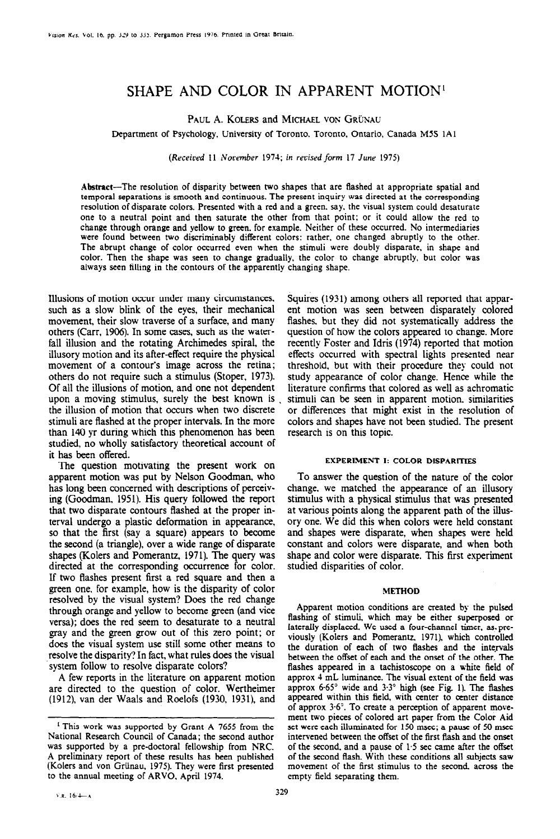# SHAPE AND COLOR IN APPARENT MOTION'

PAUL A. KOLERS and MICHAEL VON GRÜNAU

Department of Psychology, University of Toronto. Toronto, Ontario, Canada M5S 1Al

*(Received* 11 Nocember 1971; *in recked* form *17 June* 1975)

**Abstract-The** resolution of disparity between two shapes that are flashed at appropriate spatial and temporal separations is smooth and continuous. The present inquiry was directed at the corresponding resolution of disparate colors. Presented with a red and a green. say. the visual system could desaturate **one** to a neutral point and then saturate the other from that point; or it could allow the red *to*  change through orange and yellow to green, for example. Neither of these occurred. No intermediaries were found between two discriminably different colors: rather. one changed abruptly to the other. The abrupt change of color occurred even when the stimuli were doubly disparate, in shape and color. Then the shape was seen to change gradually, the color to change abruptly, but color was always seen filling in the contours of the apparently changing shape.

Illusions of motion occur under many circumstances. such as a slow blink of the eyes, their mechanical movement, their slow traverse of a surface, and many others (Carr, 1906). In some cases, such as the waterfall illusion and the rotating Archimedes spiral, the illusory motion and its after-effect require the physical movement of a contour's image across the retina; others do not require such a stimulus (Stoper, 1973). Of all the illusions of motion, and one not dependent upon a moving stimulus, surely the best known is. the illusion of motion that occurs when two discrete stimuli are flashed at the proper intervals. In the more than 140 yr during which this phenomenon has been studied, no wholly satisfactory theoretical account of it has been offered.

The question motivating the present work on apparent motion was put by Nelson Goodman, who has long been concerned with descriptions of perceiving (Goodman, 1951). His query followed the report that two disparate contours flashed at the proper interval undergo a plastic deformation in appearance, so that the first (say a square) appears to become the second (a triangle), over a wide range of disparate shapes (Kolers and Pomerantz, 1971). The query was directed at the corresponding occurrence for color. If two flashes present first a red square and then a green one. for example, how is the disparity of color resolved by the visual system? Does the red change through orange and yellow to become green (and vice versa); does the red seem to desaturate to a neutral gray and the green grow out of this zero point; or does the visual system use still some other means to resolve the disparity? In fact, what rules does the visual system follow to resolve disparate colors?

A few reports in the literature on apparent motion are directed to the question of color. Wertheimer (1912), van der Waals and Roelofs (1930, 1931), and Squires (1931) among others all reported that apparent motion was seen between disparately colored flashes. but they did not systematically address the question of how the colors appeared to change. More recently Foster and Idris (1974) reported that motion effects occurred with spectral lights presented near threshold, but with their procedure they could not study appearance of color change. Hence while the literature confirms that colored as well as achromatic stimuli can be seen in apparent motion. similarities or differences that might exist in the resolution of colors and shapes have not been studied. The present research is on this topic.

## EXPERIMENT I: COLOR DISPARITIES

To answer the question of the nature of the color change. we matched the appearance of an illusory stimulus with a physical stimulus that was presented at various points along the apparent path of the illusory one. We did this when colors were held constant and shapes were disparate, when shapes were held constant and colors were disparate, and when both shape and color were disparate. This first experiment studied disparities of color.

### METHOD

Apparent motion conditions are created by the pulsed flashing of stimuli, which may be either superposed or laterally displaced. We used a four-channel timer, as.previously (Kolers and Pomerantz. 1971). which controlled the duration of each of two flashes and the intervals between the offset of each and the onset of the other. The flashes appeared in a tachistoscope on a white field of approx 4 mL luminance. The visual extent of the field was approx 6.65° wide and 3.3° high (see Fig. 1). The flashes appeared within this field, with center to center distance of approx 3.6'. To create a perception of apparent movement two pieces of colored art paper from the Color Aid set were each illuminated for 150 msec; a pause of 50 msec intervened between the offset of the first flash and the onset of the second. and a pause of 1.5 xc came after the offset of the second flash. With these conditions all subjects saw movement of the first stimulus to the second, across the empty field separating them.

<sup>&#</sup>x27;This work was supported by Grant A 7655 from the National Research Council of Canada; the second author was supported by a pre-doctoral fellowship from NRC. A preliminary report of these results has been published (Kolers and von Grünau, 1975). They were first presented to the annual meeting of ARVO, April 1974.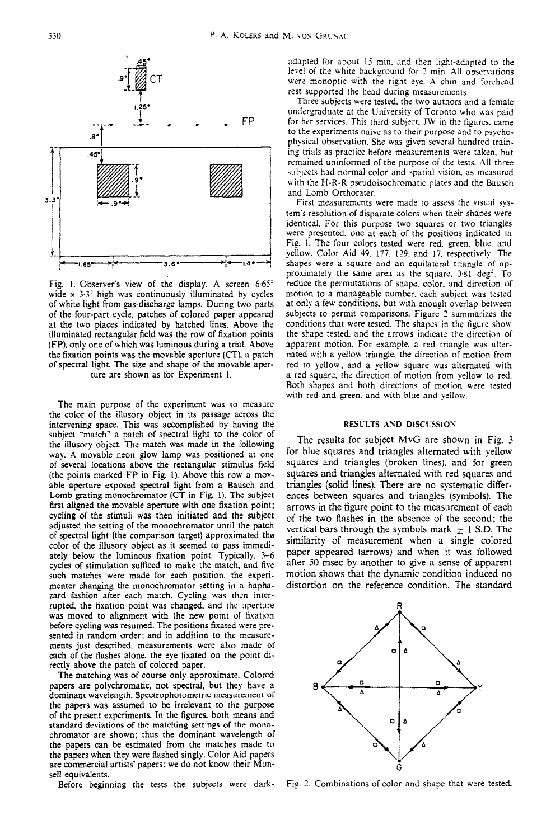

Fig. 1. Observer's view of the display. A screen  $6.65^\circ$ wide  $\times$  3.3° high was continuously illuminated by cycles of white light from gas-discharge lamps. During two parts of the four-part cycle, patches of colored paper appeared at the two places indicated by hatched lines. Above the illuminated rectangular field was the row of Fixation points (FP), onlv one of which was luminous during a trial. Above the fixation points was the movable aperture  $(CT)$ , a patch of spectral light. The size and shape of the movable aperture are shown as for Experiment 1.

The main purpose of the experiment was to measure the color of the iilusory object in its passage across the intervening space. This was accomplished by having the subject "match" a patch of spectral light to the color of the illusory object. The match was made in the following way. A movable neon glow lamp was positioned at one of several locations above the rectangular stimulus field (the points marked FP in Fig. I). Above this row a movable aperture exposed spectral light from a Bausch and Lomb grating monochromator (CT in Fig. 1). The subject first aligned the movable aperture with one fixation point; cycIing of the stimuli was then initiated and the subject adjusted the setting of the monochromator until the patch of spectral light (the comparison target) approximated the color of the illusory object as it seemed to pass immediately below the luminous fixation point. Typically, 3-6 cycles of stimulation sufficed to make the match, and five such matches were made for each position, the experimenter changing the monochromator setting in a haphazard fashion after each match. Cycling was then interrupted, the fixation point was changed, and the aperture was moved to alignment with the new point of fixation before cycling was resumed. The positions fixated were presented in random order; and in addition to the measurements just described, measurements were also made of each of the flashes alone, the eye fixated on the point directly above the patch of colored paper.

The matching was of course only approximate. Colored papers are poiychromatic, not spectral, but they have a dominant wavelength. Spectrophotometric measurement of the papers was assumed to be irrelevant to the purpose of the present experiments. In the figures. both means and standard deviations of the matching settings of the monochromator are shown; thus the dominant wavelength of the papers can be estimated from the matches made to the papers when they were ffashed singly. Color Aid papers are commercial artists' papers: we do not know their Munsell equivalents.

Before beginning the tests the subjects were dark-

adapted for about 15 min. and then light-adapted to the level of the white background for 2 min. All observations were monoptic with the right eye. A chin and forehead rest supported the head during measurements.

Three subjects were tested. the two authors and a female undergraduate at the University of Toronto who was paid for her services. This third subject. JW in the figures. came to the experiments naive as to their purpose and to psychophysical observation. She was given several hundred training trials as practice before messurements were taken. but remained uninformed of the purpose of the tests. All three subjects had normal color and spatial vision, as measured with the H-R-R pseudoisochromatic plates and the Bausch and Lomb Orthorater.

First measurements were made to assess the visual system's resolution of disparate colors when their shapes were identical. For this purpose two squares or two triangles were presented. one at each of the positions indicated in Fig. I. The four colors tested were red. green. blue. and yellow. Color Aid 49. 177. 129, and 17. respectively. The shapes were a square and an equilateral triangle of approximately the same area as the square.  $0.81$  deg<sup>2</sup>. To reduce the permutations of shape, color, and direction of morion to a manageable number. each subject was tested at only a few conditions, but with enough overlap between subjects to permit comparisons. Figure 2 summarizes the conditions that were tested. The shapes in the figure show the shape tested. and the arrows indicate the direction of apparent motion. For example. a red triangle was alternated with a yellow triangle. the direction of motion from red to yellow; and a yellow square was alternated with a red square, the direction of motion from yellow to red. Both shapes and both directions of motion were tested with red and green. and with blue and yellow.

#### RESULTS AND DISCUSSION

The results for subject MvG are shown in Fig. 3 for blue squares and triangles alternated with yellow squares and triangles (broken lines). and for green squares and triangles alternated with red squares and triangles (solid lines). There are no systematic differences between squares and triangles (symbols). The arrows in the figure point to the measurement of each of the two flashes in the absence of the second; the vertical bars through the symbols mark  $\pm$  1 S.D. The similarity of measurement when a single colored paper appeared (arrows) and when it was followed after 50 msec by another to give a sense of apparent motion shows that the dynamic condition induced no distortion on the reference condition. The standard



Fig. 2. Combinations of color and shape that were tested.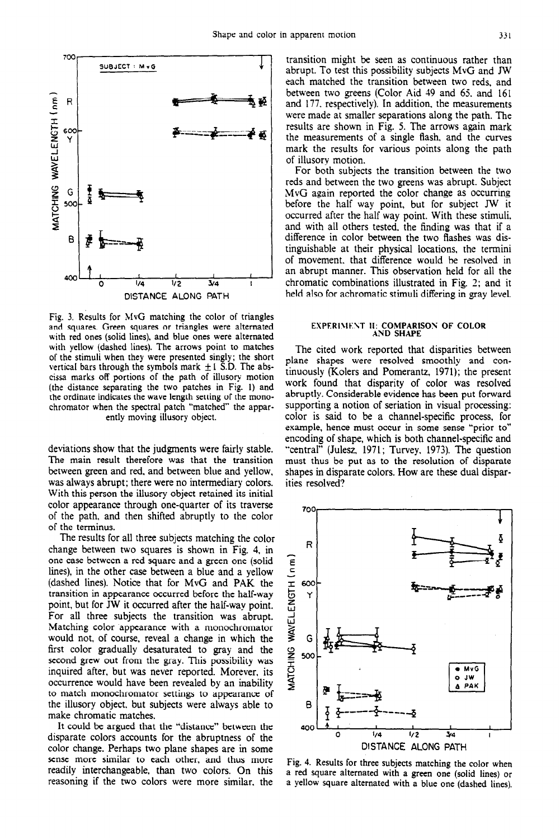

Fig. 3. Results for MvG matching the color of triangles and squares. Green squares or triangles were alternated with red ones (solid lines), and blue ones were alternated with yellow (dashed lines). The arrows point to matches of the stimuli when they were presented singly; the short vertical bars through the symbols mark  $\pm 1$  S.D. The abscissa marks off portions of the path of illusory motion (the distance separating the two patches in Fig. 1) and the ordinate indicates the wave length setting of the monochromator when the spectral patch "matched" the apparently moving illusory object.

deviations show that the judgments were fairly stable. The main result therefore was that the transition between green and red, and between blue and yellow, was always abrupt; there were no intermediary colors. With this person the illusory object retained its initial color appearance through one-quarter of its traverse of the path, and then shifted abruptly to the color of the terminus.

The results for all three subjects matching the color change between two squares is shown in Fig. 4, in one case between a red square and a green one (solid lines), in the other case between a blue and a yellow (dashed lines). Notice that for MvG and PAK the transition in appearance occurred before the half-way point, but for JW it occurred after the half-way point. For alI three subjects the transition was abrupt. Matching color appearance with a monochromator would not, of course, reveal a change in which the first color gradually desaturated to gray and the second grew out from the gray. This possibility was inquired after, but was never reported. Morever, its occurrence would have been revealed by an inability to match monochromator settings to appearance of the illusory object. but subjects were always able to make chromatic matches.

It could be argued that the "distance" between the disparate colors accounts for the abruptness of the color change. Perhaps two plane shapes are in some sense more similar to each other, and thus more readily interchangeable, than two colors. On this reasoning if the two colors were more similar. the

transition might be seen as continuous rather than abrupt. To test this possibility subjects MvG and JW each matched the transition between two reds, and between two greens (Color Aid 49 and 65. and 161 and 177. respectively). In addition, the measurements were made at smaller separations along the path. The results are shown in Fig. 5. The arrows again mark the measurements of a single flash, and the curves mark the results for various points along the path of illusory motion.

For both subjects the transition between the two reds and between the two greens was abrupt. Subject MvG again reported the color change as occurring before the half way point, but for subject JW it occurred after the half way point. With these stimuli, and with all others tested, the finding was that if a difference in color between the two flashes was distinguishable at their physical locations, the termini of movement, that difference would be resolved in an abrupt manner. This observation held for all the chromatic combinations illustrated in Fig. 2; and it held also for achromatic stimuli differing in gray level.

# **ESPERI\IE\T II: COMPARISON OF COLOR AND SHAPE**

The cited work reported that disparities between plane shapes were resolved smoothly and continuously (Kolers and Pomerantz, 1971); the present work found that disparity of color was resolved abruptly. Considerable evidence has been put forward supporting a notion of seriation in visual processing: color is said to be a channel-specific process, for example, hence must occur in some sense "prior to" encoding of shape, which is both channel-specific and "central" (Julesz, 1971; Turvey, 1973). The question must thus be put as to the resolution of disparate shapes in disparate colors. How are these dual disparities resolved?



Fig. **4.** Results for three subjects matching the color when a red square alternated with a green one (solid lines) or a yellow square alternated with a blue one (dashed lines).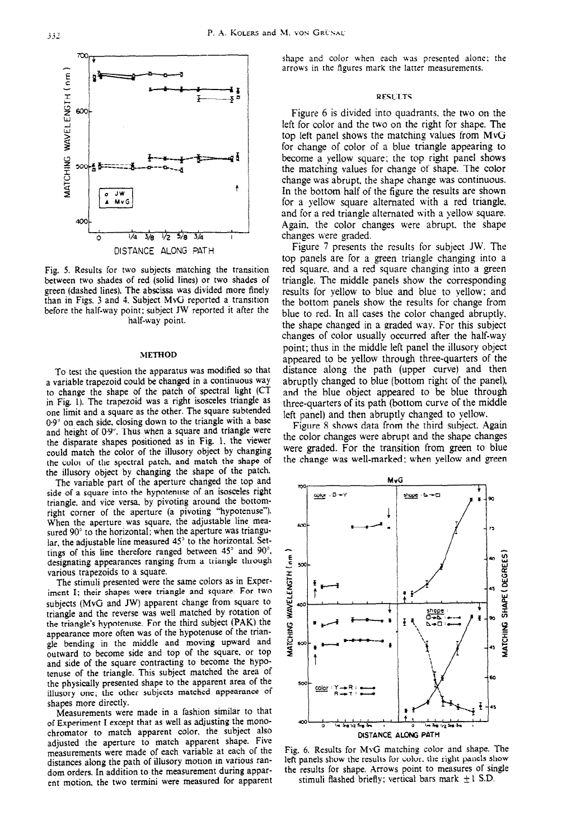

Fig. 5. Results for two subjects matching the transition between two shades of red (solid lines) or two shades of green (dashed lines). The abscissa was divided more finely than in Figs. 3 and 4. Subject MvG reported a transition before the half-way point; subject JW reported it after the half-way point.

#### **METHOD**

To test the question the apparatus was modified so that a variable trapezoid could be changed in a continuous way to change the shape of the patch of spectral light (CT in Fig. I). The trapezoid was a right isosceles triangle as one limit and a square as the other. The square subtended  $0.9$ <sup>o</sup> on each side, closing down to the triangle with a base and height of 0.9°. Thus when a square and triangle were the disparate shapes positioned as in Fig. 1. the viewer could match the color of the illusory object by changing the color of the spectral patch. and match the shape of the illusory object by changing the shape of the patch.

The variable part of the aperture changed the top and side of a square into the hypotenuse of an isosceles right triangle. and vice versa. by pivoting around the bottomright corner of the aperture (a pivoting "hypotenuse"). When the aperture was square, the adjustable line measured 90° to the horizontal; when the aperture was triangular. the adjustable line measured 45' to the horizontal. Settings of this line therefore ranged between 45° and 90°. designating appearances ranging from a triangle through various trapezoids to a square.

The stimuli presented were the same colors as in Experiment I; their shapes were triangle and square. For two subjects (MvG and JW) apparent change from square to triangle and the reverse was well matched by rotation of the triangle's hypotenuse. For the third subject (PAK) the appearance more often was of the hypotenuse of the triangle bending in the middle and moving upward and outward to become side and top of the square. or top and side of the square contracting to become the hypotenuse of the triangle. This subject matched the area of the physically presented shape to the apparent area of the illusory one; the other subjects matched appearance of shapes more directly.

Measurements were made in a fashion similar to that of Experiment I except that as well as adjusting the monochromator to match apparent color, the subject also adjusted the aperture to match apparent shape. Five measurements were made of each variable at each of the distances along the path of illusory motion in various random orders. In addition to the measurement during apparent motion. the two termini were measured for apparent shape and color when each was presented alone; the arrows in the figures mark the latter measurements.

#### **RESL'LTS**

Figure 6 is divided into quadrants. the two on the left for color and the **two on** the right for shape. The top left panel shows the matching values from MvG for change of color of a blue triangle appearing to become a yellow square: the top right panel shows the matching values for change of shape. The color change was abrupt, the shape change was continuous. In the bottom half of the figure the results are shown for a yellow square alternated with a red triangle, and for a red triangle alternated with a yellow square. Again. the color changes were abrupt. the shape changes were graded.

Figure 7 presents the results for subject JW. The top panels are for a green triangle changing into a red square. and a red square changing into a green triangle. The middle panels show the corresponding results for yellow to blue and blue to yellow; and the bottom panels show the results for change from blue to red. In all cases the color changed abruptly, the shape changed in a graded way. For this subject changes of color usually occurred after the half-way point; thus in the middle left panel the illusory object appeared to be yellow through three-quarters of the distance along the path (upper curve) and then abruptly changed to blue (bottom right of the panel), and the blue object appeared to be blue through three-quarters of its path (bottom curve of the middle left panel) and then abruptly changed to yellow.

Figure 8 shows data from the third subject. Again the color changes were abrupt and the shape changes were graded. For the transition from green to blue the change was well-marked; when yellow and green



Fig. 6. Results for MvG matching color and shape. The left panels show the results for color. the right panels show the results for shape. Arrows point to measures of single stimuli flashed briefly; vertical bars mark  $\pm 1$  S.D.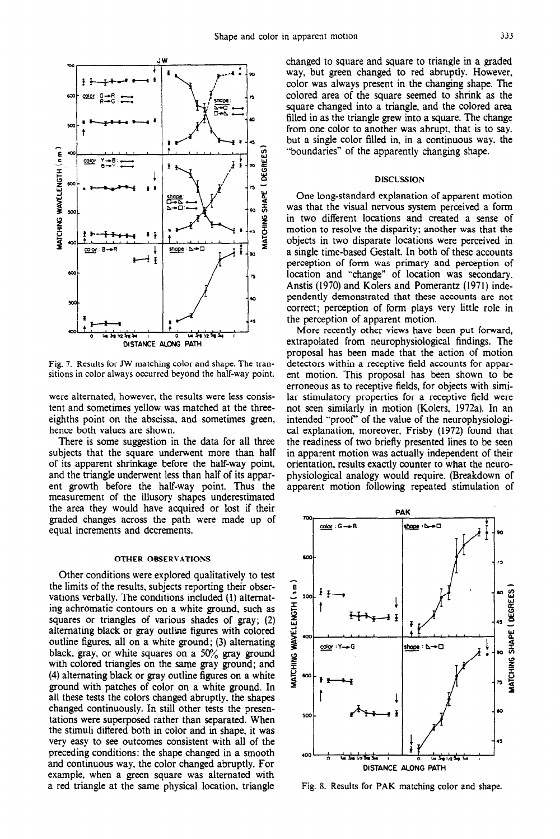

**7.** Results for JW matching color and shape. The transitions in color always occurred beyond the half-way point.

were alternated, however, the results were less consistent and sometimes yellow was matched at the threeeighths point on the abscissa, and sometimes green, hence both values are shown.

There is some suggestion in the data for all three subjects that the square underwent more than half of its apparent shrinkage before the half-way point, and the triangle underwent less than half of its apparent growth before the half-way point. Thus the measurement of the illusory shapes underestimated the area they would have acquired or lost if their graded changes across the path were made up of equal increments and decrements.

#### OTHER OBSERVATIONS

Other conditions were explored qualitatively to test the limits of the results, subjects reporting their observations verbally. The conditions included (1) altemating achromatic contours on a white ground, such as squares or triangles of various shades of gray; (2) alternating black or gray outline figures with colored outline figures. all on a white ground; (3) alternating black, gray, or white squares on a  $50\%$  gray ground with colored triangles on the same gray ground; and (4) alternating black or gray outline figures on a white ground with patches of color on a white ground. In all these tests the colors changed abruptly, the shapes changed continuously. In still other tests the presentations were superposed rather than separated. When the stimuli differed both in color and in shape, it was very easy to see outcomes consistent with all of the preceding conditions: the shape changed in a smooth and continuous way, the color changed abruptly. For example. when a green square was alternated with a red triangle at the same physical location. triangle

changed to square and square to triangle in a graded way, but green changed to red abruptly. However, color was always present in the changing shape. The colored area of the square seemed to shrink as the square changed into a triangle, and the colored area filled in as the triangle grew into a square. The change from one color to another was abrupt, that is to say. but a single color filled in, in a continuous way. the "boundaries" of the apparently changing shape.

#### DISCUSSION

One long-standard explanation of apparent motion was that the visual nervous system perceived a form in two different locations and created a sense of motion to resolve the disparity; another was that the objects in two disparate locations were perceived in a single time-based Gestalt. In both of these accounts perception of form was primary and perception of location and "change" of location was secondary. Anstis (1970) and Kolers and Pomerantz (1971) independently demonstrated that these accounts are not correct; perception of form plays very little role in the perception of apparent motion.

More recently other views have been put forward, extrapolated from neurophysiological findings. The proposal has been made that the action of motion detectors within a receptive field accounts for apparent motion. This proposal has been shown to be erroneous as to receptive fields, for objects with similar stimulatory properties for a receptive field were not seen similarly in motion (Kolers, 1972a). In an intended "proof' of the value of the neurophysiological explanation, moreover, Frisby (1972) found that the readiness of two briefly presented lines to be seen in apparent motion was actually independent of their orientation, results exactly counter to what the neurophysiological analogy would require. (Breakdown of apparent motion following repeated stimulation of



Fig. 8. Results for PAK matching color and shape.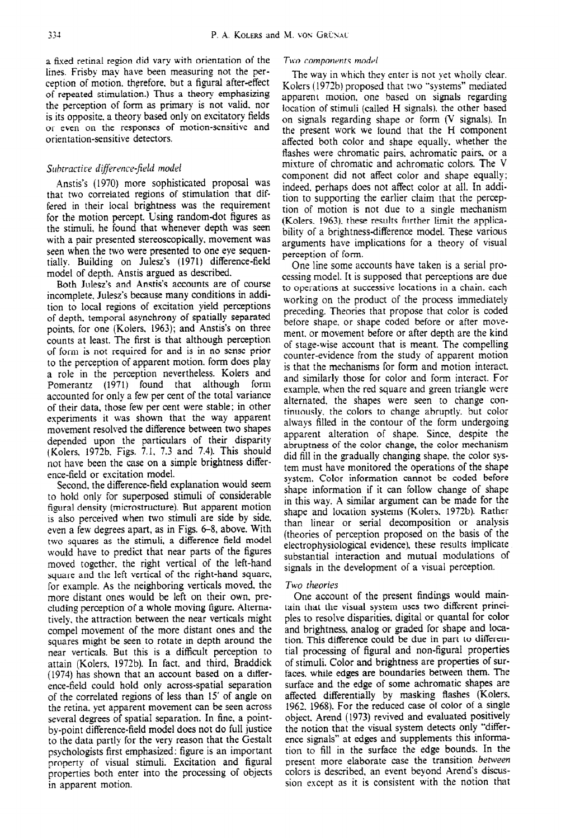a fisrd retinal region did vary with orientation of the lines. Frisby may have been measuring not the perception of motion. therefore. but a figural after-effect of repeated stimulation.) Thus a theory emphasizing the perception of form as primary is not valid. nor is its opposite, a theory based only on excitatory fields or even on the responses of motion-sensitive and orientation-sensitive detectors.

## Subtractive difference-field model

Anstis's (1970) more sophisticated proposal was that two correlated regions of stimulation that differed in their local brightness was the requirement for the motion percept. Using random-dot figures as the stimuli, he found that whenever depth was seen with a pair presented stereoscopically, movement was seen when the two were presented to one eye sequentially. Building on Julesz's (1971) difference-field model of depth. Anstis argued as described.

Both Julesz's and Anstis's accounts are of course incomplete. Julesz's because many conditions in addition to local regions of excitation yield perceptions of depth, temporal asynchrony of spatially separated points, for one (Kolers, 1963); and Anstis's on three counts at least. The first is that although perception of form is not required for and is in no sense prior to the perception of apparent motion. form does play a role in the perception nevertheless. Kolers and Pomerantz (1971) found that although form accounted for only a few per cent of the total variance of their data, those few per cent were stable; in other experiments it was shown that the way apparent movement resolved the difference between two shapes depended upon the particulars of their disparity (Kolers, 1972b. Figs. 7.1, 7.3 and 7.4). This should not have been the case on a simple brightness difference-field or excitation model.

Second, the difference-field explanation would seem to hold only for superposed stimuli of considerable figural density (microstructure). But apparent motion is also perceived when two stimuli are side by side, even a few degees apart, as in Figs. 6-8, above. With two squares as the stimuli, a difference field model would have to predict that near parts of the figures moved together. the right vertical of the left-hand square and the left vertical of the right-hand square, for example. As the neighboring verticals moved. the more distant ones would be left on their own. precluding perception of a whole moving figure. Altematively. the attraction between the near verticals might compel movement of the more distant ones and the squares might be seen to rotate in depth around the near verticals. But this is a difficult perception to attain (Kolers. 1972b). In fact. and third, Braddick (1974) has shown that an account based on a difference-field could hold only across-spatial separation of the correlated regions of less than t5' of angle on the retina. yet apparent movement can be seen across several degrees of spatial separation. In fine, a pointby-point difference-field model does not do full justice to the data partly for the very reason that the Gestalt psychologists first emphasized: figure is an important property of visual stimuli. Excitation and figural properties both enter into the processing of objects in apparent motion.

#### *Two components model*

*The* way in which they enter is not yet wholly clear. Kolers (1972b) proposed that two "systems" mediated apparent motion, one based on signals regarding location of stimuli (called H signals), the other based on signals regarding shape or form (V signals). In the present work we found that the H component affected both cotor and shape equally. whether the flashes were chromatic pairs, achromatic pairs, or a mixture of chromatic and achromatic colors. The V component did not affect color and shape equally; indeed, perhaps does not affect color at all. In addition to supporting the earlier claim that the perception of motion is not due to a single mechanism (Kolers. 1963). these results further limit the applicability of a brightness-difference model. These various arguments have implications for a theory of visual perception of form.

One line some accounts have taken is a serial processing model. It is supposed that perceptions are due to operations at successive locations in a chain. each working on the product of the process immediately preceding. Theories that propose that color is coded before shape. or shape coded before or after movement. or movement before or after depth are the kind of stage-wise account that is meant. The compelling counter-evidence from the study of apparent motion is that the mechanisms for form and motion interact. and similarly those for color and form interact. For example, when the red square and green triangle were alternated, the shapes were seen to change continuously, the colors to change abruptly. but color always filled in the contour of the form undergoing apparent alteration of shape. Since, despite the abruptness of the color change, the color mechanism did fill in the gradually changing shape. the color systern must have monitored the operations of the shape system. Color information cannot be coded before shape information if it can follow change of shape in this way. A similar argument can be made for the shape and location systems (Kolers. 1972b). Rather than linear or serial decomposition or analysis (theories of perception proposed on the basis of the electrophysiological evidence), these results implicate substantial interaction and mutual modulations of signals in the development of a visual perception.

### *Two theories*

One account of the present findings would maintain that the visual svstem uses two different principles to resolve disparities, digital or quantal for color and brightness, analog or graded for shape and location. *This* difference could be due in part to differential processing of figural and non-figural properties of stimuli. Color and brightness are properties of surfaces. while edges are boundaries between them. The surface and the edge of some achromatic shapes are affected differentially by masking flashes (Kolers, 1962. 1968). For the reduced case of color of a single object. Arend (1973) revived and evaluated positively the notion that the visual system detects only "difference signals" at edges and supplements this information to fill in the surface the edge bounds. In the present more elaborate case the transition between colors is described, an event beyond Arend's discussion except as it is consistent with the notion that